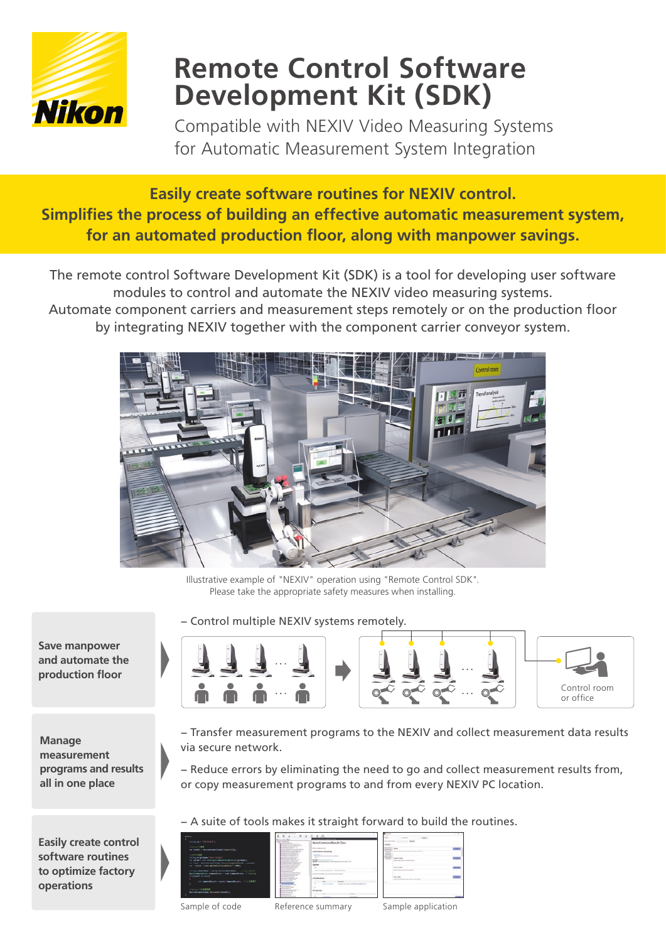

# **Remote Control Software Development Kit (SDK)**

Compatible with NEXIV Video Measuring Systems for Automatic Measurement System Integration

# **Easily create software routines for NEXIV control. Simplifies the process of building an effective automatic measurement system,** for an automated production floor, along with manpower savings.

The remote control Software Development Kit (SDK) is a tool for developing user software modules to control and automate the NEXIV video measuring systems.

Automate component carriers and measurement steps remotely or on the production floor by integrating NEXIV together with the component carrier conveyor system.



Illustrative example of "NEXIV" operation using "Remote Control SDK". Please take the appropriate safety measures when installing.

- Control multiple NEXIV systems remotely.



 **Manage measurement programs** and results all in one place

**Save manpower** and automate the **production** floor

**Easily create control** software routines to optimize factory **operations**

- Transfer measurement programs to the NEXIV and collect measurement data results via secure network.
- Reduce errors by eliminating the need to go and collect measurement results from, or copy measurement programs to and from every NEXIV PC location.
- A suite of tools makes it straight forward to build the routines.